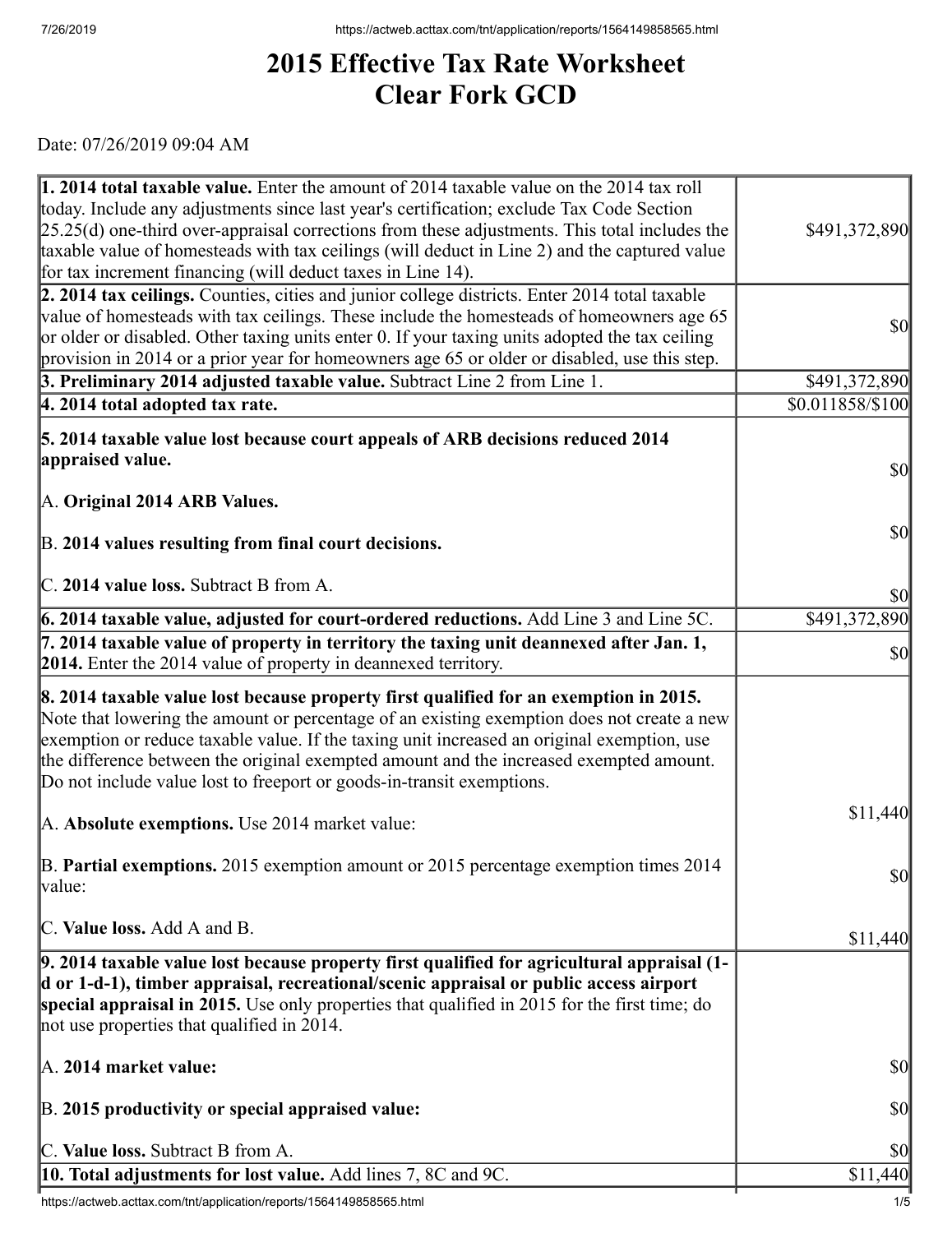## **2015 Effective Tax Rate Worksheet Clear Fork GCD**

Date: 07/26/2019 09:04 AM

| <b>1. 2014 total taxable value.</b> Enter the amount of 2014 taxable value on the 2014 tax roll<br>today. Include any adjustments since last year's certification; exclude Tax Code Section<br>$[25.25(d)$ one-third over-appraisal corrections from these adjustments. This total includes the<br>taxable value of homesteads with tax ceilings (will deduct in Line 2) and the captured value<br>for tax increment financing (will deduct taxes in Line 14). | \$491,372,890                       |
|----------------------------------------------------------------------------------------------------------------------------------------------------------------------------------------------------------------------------------------------------------------------------------------------------------------------------------------------------------------------------------------------------------------------------------------------------------------|-------------------------------------|
| 2. 2014 tax ceilings. Counties, cities and junior college districts. Enter 2014 total taxable<br>value of homesteads with tax ceilings. These include the homesteads of homeowners age 65<br>or older or disabled. Other taxing units enter 0. If your taxing units adopted the tax ceiling<br>provision in 2014 or a prior year for homeowners age 65 or older or disabled, use this step.                                                                    | $\vert \mathbf{S} \mathbf{0} \vert$ |
| 3. Preliminary 2014 adjusted taxable value. Subtract Line 2 from Line 1.                                                                                                                                                                                                                                                                                                                                                                                       | \$491,372,890                       |
| $ 4.2014$ total adopted tax rate.                                                                                                                                                                                                                                                                                                                                                                                                                              | \$0.011858/\$100                    |
| 5. 2014 taxable value lost because court appeals of ARB decisions reduced 2014<br>appraised value.                                                                                                                                                                                                                                                                                                                                                             | $\vert \mathbf{S} \mathbf{O} \vert$ |
| A. Original 2014 ARB Values.<br>B. 2014 values resulting from final court decisions.                                                                                                                                                                                                                                                                                                                                                                           | $ 10\rangle$                        |
| C. 2014 value loss. Subtract B from A.                                                                                                                                                                                                                                                                                                                                                                                                                         | <b>\$0</b>                          |
| 6. 2014 taxable value, adjusted for court-ordered reductions. Add Line 3 and Line 5C.                                                                                                                                                                                                                                                                                                                                                                          | \$491,372,890                       |
| 7. 2014 taxable value of property in territory the taxing unit deannexed after Jan. 1,<br>2014. Enter the 2014 value of property in deannexed territory.                                                                                                                                                                                                                                                                                                       | $\vert \mathbf{S} \mathbf{0} \vert$ |
| 8. 2014 taxable value lost because property first qualified for an exemption in 2015.<br>Note that lowering the amount or percentage of an existing exemption does not create a new<br>exemption or reduce taxable value. If the taxing unit increased an original exemption, use<br>the difference between the original exempted amount and the increased exempted amount.<br>Do not include value lost to freeport or goods-in-transit exemptions.           |                                     |
| A. Absolute exemptions. Use 2014 market value:                                                                                                                                                                                                                                                                                                                                                                                                                 | \$11,440                            |
| B. Partial exemptions. 2015 exemption amount or 2015 percentage exemption times 2014<br> value:                                                                                                                                                                                                                                                                                                                                                                | $\vert \mathbf{S} \mathbf{0} \vert$ |
| C. Value loss. Add A and B.                                                                                                                                                                                                                                                                                                                                                                                                                                    | \$11,440                            |
| 9. 2014 taxable value lost because property first qualified for agricultural appraisal (1-<br>d or 1-d-1), timber appraisal, recreational/scenic appraisal or public access airport<br>special appraisal in 2015. Use only properties that qualified in 2015 for the first time; do<br>not use properties that qualified in 2014.                                                                                                                              |                                     |
| A. 2014 market value:                                                                                                                                                                                                                                                                                                                                                                                                                                          | \$0                                 |
| B. 2015 productivity or special appraised value:                                                                                                                                                                                                                                                                                                                                                                                                               | \$0                                 |
| C. Value loss. Subtract B from A.                                                                                                                                                                                                                                                                                                                                                                                                                              | $ 10\rangle$                        |
| <b>10. Total adjustments for lost value.</b> Add lines 7, 8C and 9C.                                                                                                                                                                                                                                                                                                                                                                                           | \$11,440                            |
| https://actweb.acttax.com/tnt/application/reports/1564149858565.html                                                                                                                                                                                                                                                                                                                                                                                           | 1/5                                 |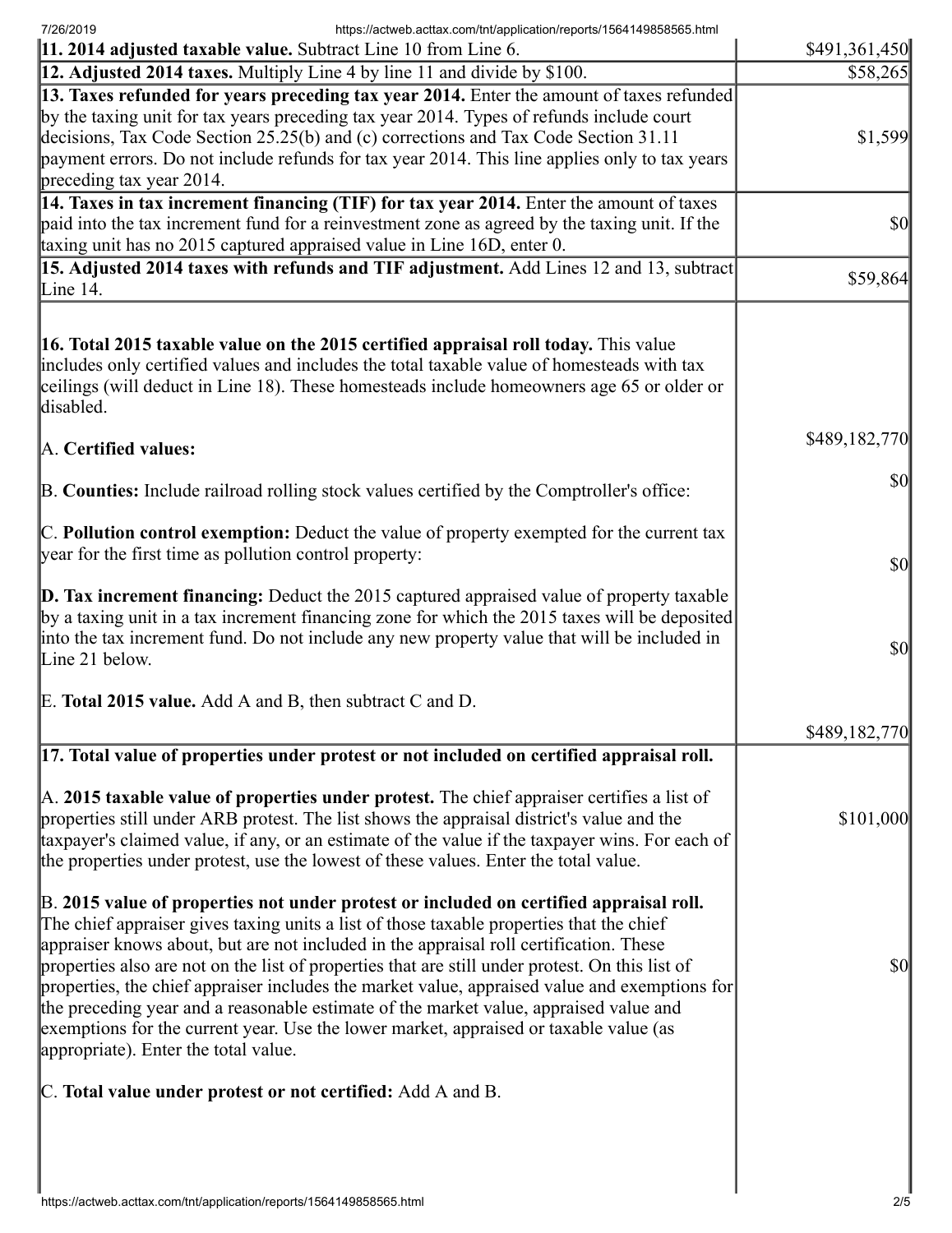7/26/2019 https://actweb.acttax.com/tnt/application/reports/1564149858565.html

| [11. 2014 adjusted taxable value. Subtract Line 10 from Line 6.                                                                                                                                                                                                                                                                                                                                                                                                                                                                                                                                                                                                                                            | \$491,361,450                       |
|------------------------------------------------------------------------------------------------------------------------------------------------------------------------------------------------------------------------------------------------------------------------------------------------------------------------------------------------------------------------------------------------------------------------------------------------------------------------------------------------------------------------------------------------------------------------------------------------------------------------------------------------------------------------------------------------------------|-------------------------------------|
| <b>12. Adjusted 2014 taxes.</b> Multiply Line 4 by line 11 and divide by \$100.                                                                                                                                                                                                                                                                                                                                                                                                                                                                                                                                                                                                                            | \$58,265                            |
| [13. Taxes refunded for years preceding tax year 2014. Enter the amount of taxes refunded]<br>by the taxing unit for tax years preceding tax year 2014. Types of refunds include court<br>decisions, Tax Code Section 25.25(b) and (c) corrections and Tax Code Section 31.11<br>payment errors. Do not include refunds for tax year 2014. This line applies only to tax years<br>preceding tax year 2014.                                                                                                                                                                                                                                                                                                 | \$1,599                             |
| 14. Taxes in tax increment financing (TIF) for tax year 2014. Enter the amount of taxes<br>paid into the tax increment fund for a reinvestment zone as agreed by the taxing unit. If the<br>taxing unit has no 2015 captured appraised value in Line 16D, enter 0.                                                                                                                                                                                                                                                                                                                                                                                                                                         | <b>\$0</b>                          |
| [15. Adjusted 2014 taxes with refunds and TIF adjustment. Add Lines 12 and 13, subtract<br>Line $14$ .                                                                                                                                                                                                                                                                                                                                                                                                                                                                                                                                                                                                     | \$59,864                            |
| <b>16. Total 2015 taxable value on the 2015 certified appraisal roll today.</b> This value<br>includes only certified values and includes the total taxable value of homesteads with tax<br>ceilings (will deduct in Line 18). These homesteads include homeowners age 65 or older or<br>disabled.                                                                                                                                                                                                                                                                                                                                                                                                         |                                     |
| A. Certified values:                                                                                                                                                                                                                                                                                                                                                                                                                                                                                                                                                                                                                                                                                       | \$489,182,770                       |
| B. Counties: Include railroad rolling stock values certified by the Comptroller's office:                                                                                                                                                                                                                                                                                                                                                                                                                                                                                                                                                                                                                  | <b>\$0</b>                          |
| $\mathbb C$ . Pollution control exemption: Deduct the value of property exempted for the current tax<br>year for the first time as pollution control property:                                                                                                                                                                                                                                                                                                                                                                                                                                                                                                                                             | $\vert \mathbf{S} \mathbf{0} \vert$ |
| $\vert$ D. Tax increment financing: Deduct the 2015 captured appraised value of property taxable<br>by a taxing unit in a tax increment financing zone for which the 2015 taxes will be deposited<br>into the tax increment fund. Do not include any new property value that will be included in<br>Line 21 below.                                                                                                                                                                                                                                                                                                                                                                                         | $\vert \mathbf{S} \mathbf{0} \vert$ |
| E. Total 2015 value. Add A and B, then subtract C and D.                                                                                                                                                                                                                                                                                                                                                                                                                                                                                                                                                                                                                                                   |                                     |
| [17. Total value of properties under protest or not included on certified appraisal roll.                                                                                                                                                                                                                                                                                                                                                                                                                                                                                                                                                                                                                  | \$489,182,770                       |
| $\mathbb A$ . 2015 taxable value of properties under protest. The chief appraiser certifies a list of<br>properties still under ARB protest. The list shows the appraisal district's value and the<br>taxpayer's claimed value, if any, or an estimate of the value if the taxpayer wins. For each of<br>the properties under protest, use the lowest of these values. Enter the total value.                                                                                                                                                                                                                                                                                                              | \$101,000                           |
| B. 2015 value of properties not under protest or included on certified appraisal roll.<br>The chief appraiser gives taxing units a list of those taxable properties that the chief<br>appraiser knows about, but are not included in the appraisal roll certification. These<br>properties also are not on the list of properties that are still under protest. On this list of<br>properties, the chief appraiser includes the market value, appraised value and exemptions for<br>the preceding year and a reasonable estimate of the market value, appraised value and<br>exemptions for the current year. Use the lower market, appraised or taxable value (as<br>appropriate). Enter the total value. | $\vert \mathbf{S} \mathbf{0} \vert$ |
| C. Total value under protest or not certified: Add A and B.                                                                                                                                                                                                                                                                                                                                                                                                                                                                                                                                                                                                                                                |                                     |
|                                                                                                                                                                                                                                                                                                                                                                                                                                                                                                                                                                                                                                                                                                            |                                     |
|                                                                                                                                                                                                                                                                                                                                                                                                                                                                                                                                                                                                                                                                                                            |                                     |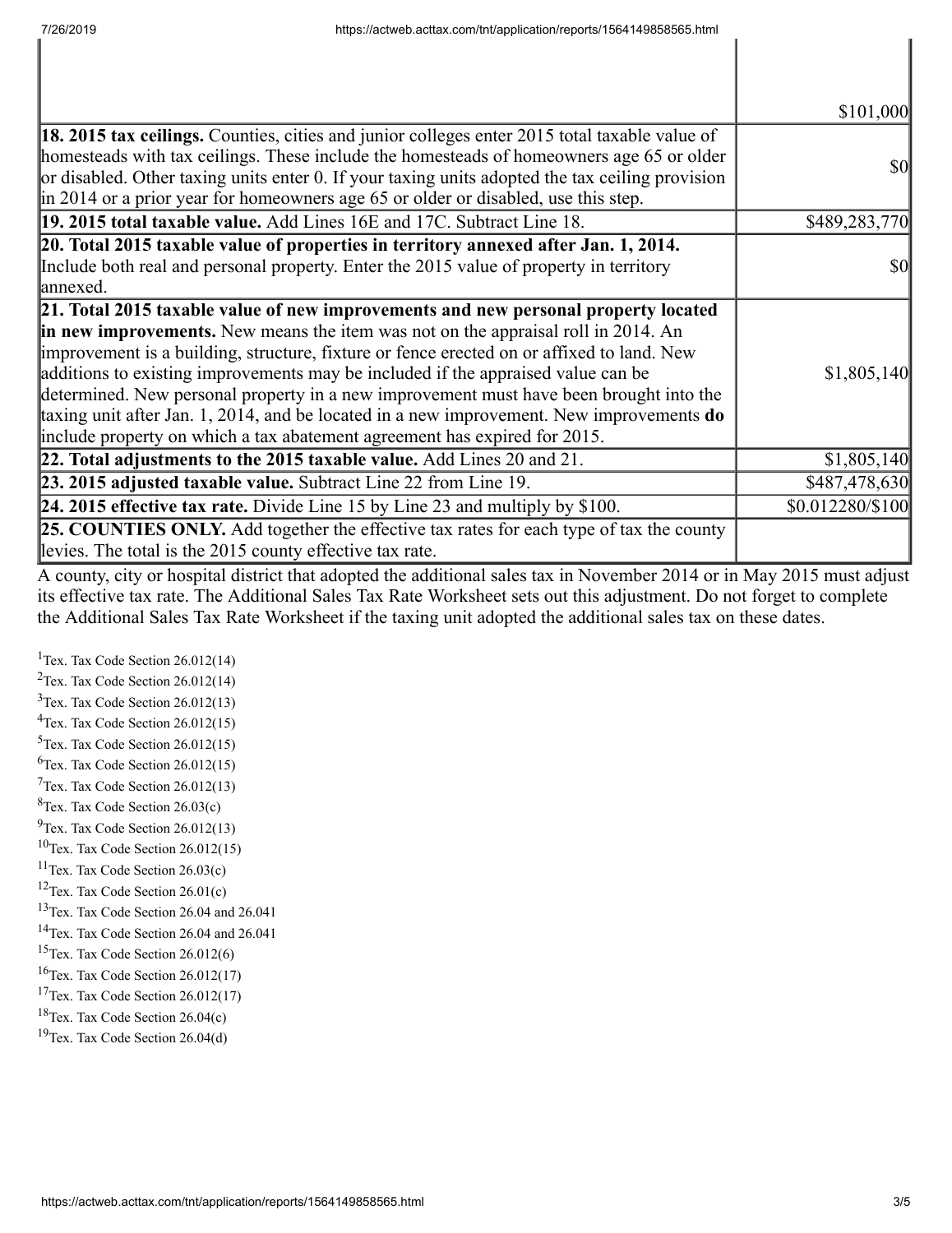|                                                                                                                                                                                                                                                                                                                                                                                                                                                                                                                                                                                                                             | \$101,000        |
|-----------------------------------------------------------------------------------------------------------------------------------------------------------------------------------------------------------------------------------------------------------------------------------------------------------------------------------------------------------------------------------------------------------------------------------------------------------------------------------------------------------------------------------------------------------------------------------------------------------------------------|------------------|
| <b>18. 2015 tax ceilings.</b> Counties, cities and junior colleges enter 2015 total taxable value of<br>homesteads with tax ceilings. These include the homesteads of homeowners age 65 or older<br>or disabled. Other taxing units enter 0. If your taxing units adopted the tax ceiling provision<br>in 2014 or a prior year for homeowners age 65 or older or disabled, use this step.                                                                                                                                                                                                                                   | <b>\$0</b>       |
| 19. 2015 total taxable value. Add Lines 16E and 17C. Subtract Line 18.                                                                                                                                                                                                                                                                                                                                                                                                                                                                                                                                                      | \$489,283,770    |
| 20. Total 2015 taxable value of properties in territory annexed after Jan. 1, 2014.<br>Include both real and personal property. Enter the 2015 value of property in territory<br>lannexed.                                                                                                                                                                                                                                                                                                                                                                                                                                  | <b>\$0</b>       |
| 21. Total 2015 taxable value of new improvements and new personal property located<br>in new improvements. New means the item was not on the appraisal roll in 2014. An<br>improvement is a building, structure, fixture or fence erected on or affixed to land. New<br>additions to existing improvements may be included if the appraised value can be<br>determined. New personal property in a new improvement must have been brought into the<br>taxing unit after Jan. 1, 2014, and be located in a new improvement. New improvements do<br>include property on which a tax abatement agreement has expired for 2015. | \$1,805,140      |
| 22. Total adjustments to the 2015 taxable value. Add Lines 20 and 21.                                                                                                                                                                                                                                                                                                                                                                                                                                                                                                                                                       | \$1,805,140      |
| 23. 2015 adjusted taxable value. Subtract Line 22 from Line 19.                                                                                                                                                                                                                                                                                                                                                                                                                                                                                                                                                             | \$487,478,630    |
| <b>24. 2015 effective tax rate.</b> Divide Line 15 by Line 23 and multiply by \$100.                                                                                                                                                                                                                                                                                                                                                                                                                                                                                                                                        | \$0.012280/\$100 |
| <b>25. COUNTIES ONLY.</b> Add together the effective tax rates for each type of tax the county<br>levies. The total is the 2015 county effective tax rate.                                                                                                                                                                                                                                                                                                                                                                                                                                                                  |                  |

A county, city or hospital district that adopted the additional sales tax in November 2014 or in May 2015 must adjust its effective tax rate. The Additional Sales Tax Rate Worksheet sets out this adjustment. Do not forget to complete the Additional Sales Tax Rate Worksheet if the taxing unit adopted the additional sales tax on these dates.

<sup>1</sup>Tex. Tax Code Section  $26.012(14)$ Tex. Tax Code Section 26.012(14) Tex. Tax Code Section 26.012(13) Tex. Tax Code Section 26.012(15) Tex. Tax Code Section 26.012(15)  ${}^{6}$ Tex. Tax Code Section 26.012(15) Tex. Tax Code Section 26.012(13)  ${}^{8}$ Tex. Tax Code Section 26.03(c)  $^{9}$ Tex. Tax Code Section 26.012(13) Tex. Tax Code Section 26.012(15) Tex. Tax Code Section 26.03(c) <sup>12</sup>Tex. Tax Code Section  $26.01(c)$ Tex. Tax Code Section 26.04 and 26.041 Tex. Tax Code Section 26.04 and 26.041 <sup>15</sup>Tex. Tax Code Section  $26.012(6)$ Tex. Tax Code Section 26.012(17) <sup>17</sup>Tex. Tax Code Section  $26.012(17)$ Tex. Tax Code Section 26.04(c) Tex. Tax Code Section 26.04(d)

I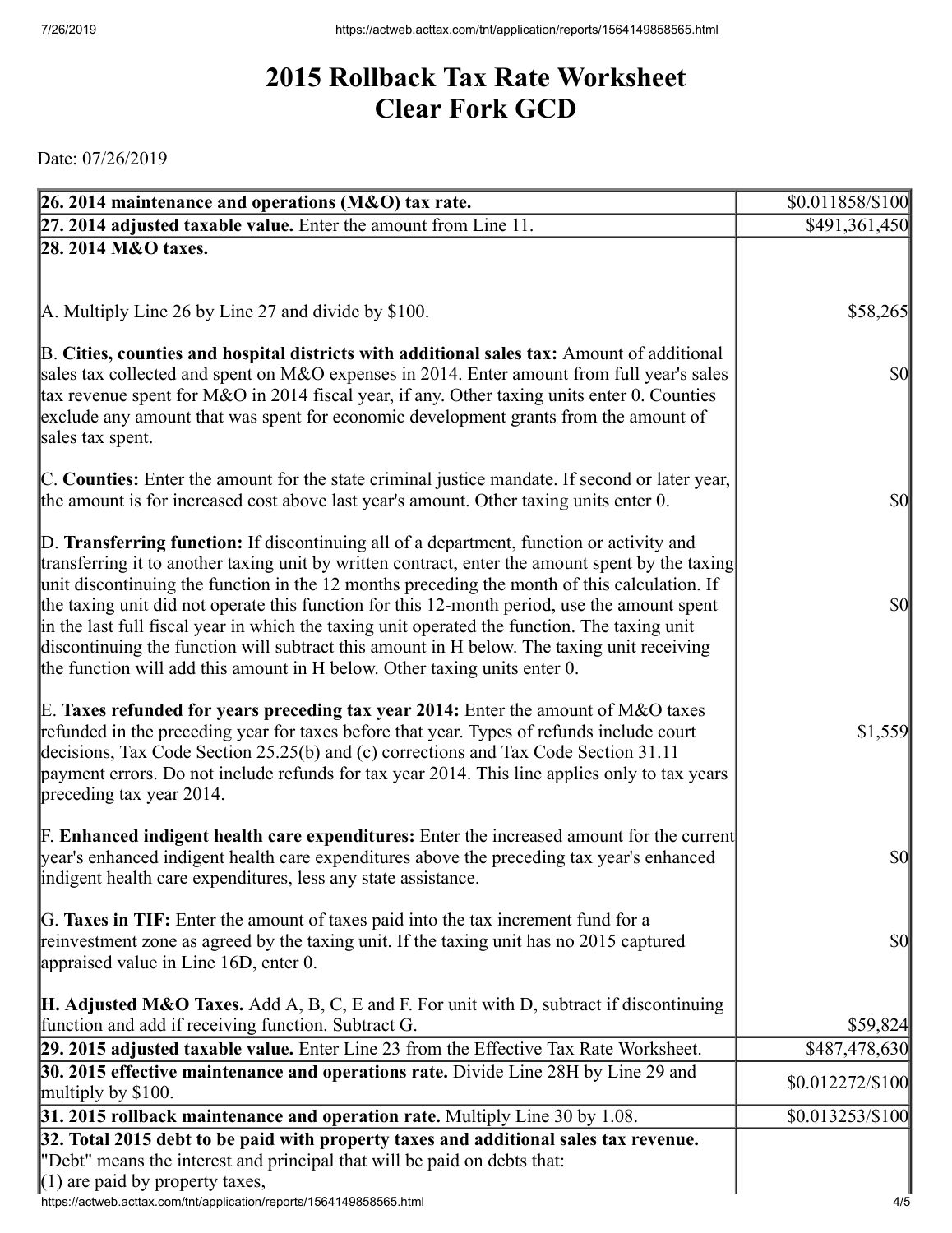## **2015 Rollback Tax Rate Worksheet Clear Fork GCD**

Date: 07/26/2019

| 26. 2014 maintenance and operations (M&O) tax rate.                                                                                                                                                                                                                                                                                                                                                                                                                                                                                                                                                                                                                     | \$0.011858/\$100  |
|-------------------------------------------------------------------------------------------------------------------------------------------------------------------------------------------------------------------------------------------------------------------------------------------------------------------------------------------------------------------------------------------------------------------------------------------------------------------------------------------------------------------------------------------------------------------------------------------------------------------------------------------------------------------------|-------------------|
| 27. 2014 adjusted taxable value. Enter the amount from Line 11.                                                                                                                                                                                                                                                                                                                                                                                                                                                                                                                                                                                                         | \$491,361,450     |
| 28. 2014 M&O taxes.                                                                                                                                                                                                                                                                                                                                                                                                                                                                                                                                                                                                                                                     |                   |
|                                                                                                                                                                                                                                                                                                                                                                                                                                                                                                                                                                                                                                                                         |                   |
| A. Multiply Line 26 by Line 27 and divide by \$100.                                                                                                                                                                                                                                                                                                                                                                                                                                                                                                                                                                                                                     | \$58,265          |
| B. Cities, counties and hospital districts with additional sales tax: Amount of additional<br>sales tax collected and spent on M&O expenses in 2014. Enter amount from full year's sales<br>tax revenue spent for M&O in 2014 fiscal year, if any. Other taxing units enter 0. Counties<br>exclude any amount that was spent for economic development grants from the amount of<br>sales tax spent.                                                                                                                                                                                                                                                                     | $\frac{1}{2}$     |
| C. Counties: Enter the amount for the state criminal justice mandate. If second or later year,<br>the amount is for increased cost above last year's amount. Other taxing units enter 0.                                                                                                                                                                                                                                                                                                                                                                                                                                                                                | $\frac{1}{2}$     |
| D. Transferring function: If discontinuing all of a department, function or activity and<br>transferring it to another taxing unit by written contract, enter the amount spent by the taxing<br>unit discontinuing the function in the 12 months preceding the month of this calculation. If<br>the taxing unit did not operate this function for this 12-month period, use the amount spent<br>in the last full fiscal year in which the taxing unit operated the function. The taxing unit<br>discontinuing the function will subtract this amount in H below. The taxing unit receiving<br>the function will add this amount in H below. Other taxing units enter 0. | $\frac{1}{2}$     |
| E. Taxes refunded for years preceding tax year 2014: Enter the amount of M&O taxes<br>refunded in the preceding year for taxes before that year. Types of refunds include court<br>decisions, Tax Code Section 25.25(b) and (c) corrections and Tax Code Section 31.11<br>payment errors. Do not include refunds for tax year 2014. This line applies only to tax years<br>preceding tax year 2014.                                                                                                                                                                                                                                                                     | \$1,559           |
| <b>F. Enhanced indigent health care expenditures:</b> Enter the increased amount for the current<br>year's enhanced indigent health care expenditures above the preceding tax year's enhanced<br>indigent health care expenditures, less any state assistance.                                                                                                                                                                                                                                                                                                                                                                                                          | $\frac{1}{2}$     |
| G. Taxes in TIF: Enter the amount of taxes paid into the tax increment fund for a<br>reinvestment zone as agreed by the taxing unit. If the taxing unit has no 2015 captured<br>appraised value in Line 16D, enter 0.                                                                                                                                                                                                                                                                                                                                                                                                                                                   | <b>\$0</b>        |
| <b>H. Adjusted M&amp;O Taxes.</b> Add A, B, C, E and F. For unit with D, subtract if discontinuing<br>function and add if receiving function. Subtract G.                                                                                                                                                                                                                                                                                                                                                                                                                                                                                                               | \$59,824          |
| 29. 2015 adjusted taxable value. Enter Line 23 from the Effective Tax Rate Worksheet.                                                                                                                                                                                                                                                                                                                                                                                                                                                                                                                                                                                   | \$487,478,630     |
| 30. 2015 effective maintenance and operations rate. Divide Line 28H by Line 29 and                                                                                                                                                                                                                                                                                                                                                                                                                                                                                                                                                                                      | \$0.012272/\$100  |
| multiply by $$100$ .<br>31. 2015 rollback maintenance and operation rate. Multiply Line 30 by 1.08.                                                                                                                                                                                                                                                                                                                                                                                                                                                                                                                                                                     | $$0.013253/\$100$ |
| 32. Total 2015 debt to be paid with property taxes and additional sales tax revenue.<br>"Debt" means the interest and principal that will be paid on debts that:<br>$(1)$ are paid by property taxes,                                                                                                                                                                                                                                                                                                                                                                                                                                                                   |                   |

https://actweb.acttax.com/tnt/application/reports/1564149858565.html 4/5